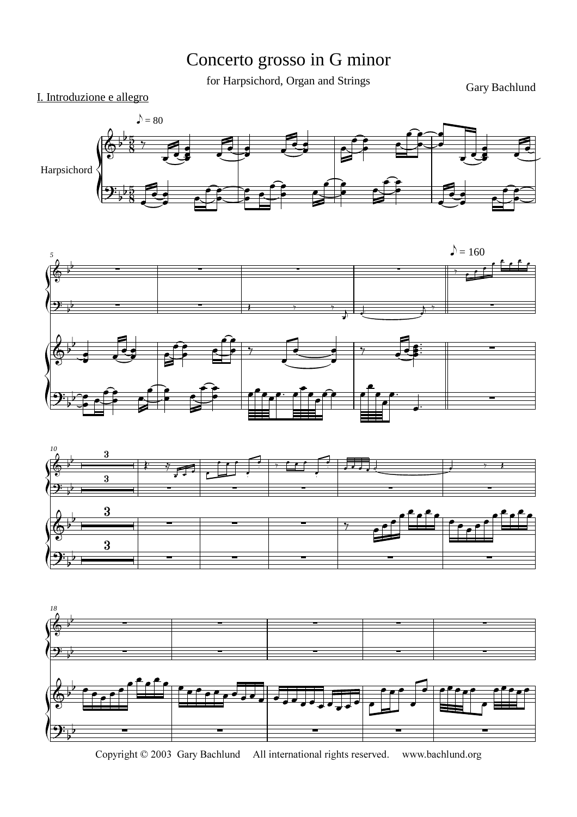## Concerto grosso in G minor

for Harpsichord, Organ and Strings Gary Bachlund

## I. Introduzione e allegro









Copyright © 2003 Gary Bachlund All international rights reserved. www.bachlund.org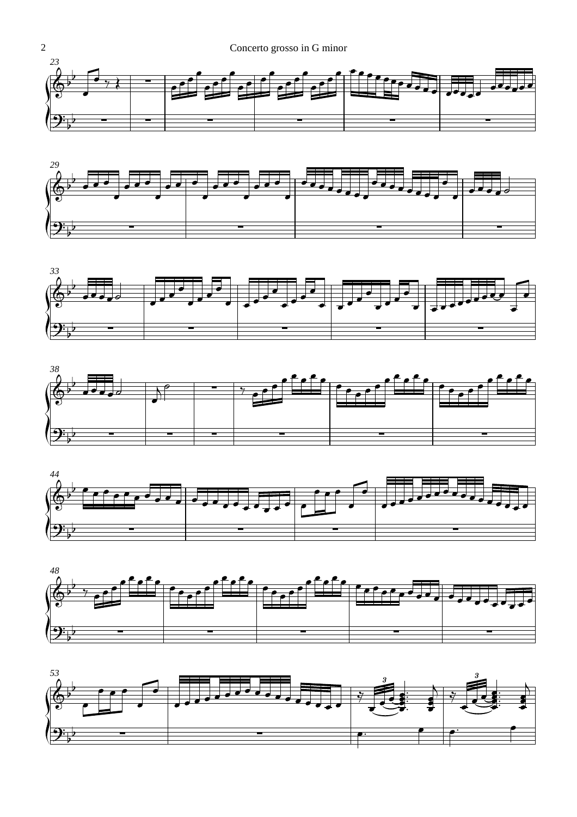











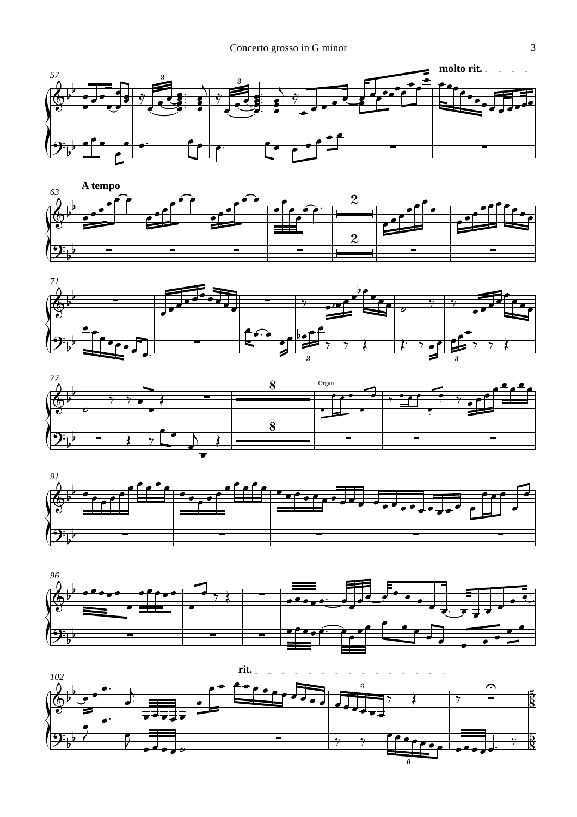











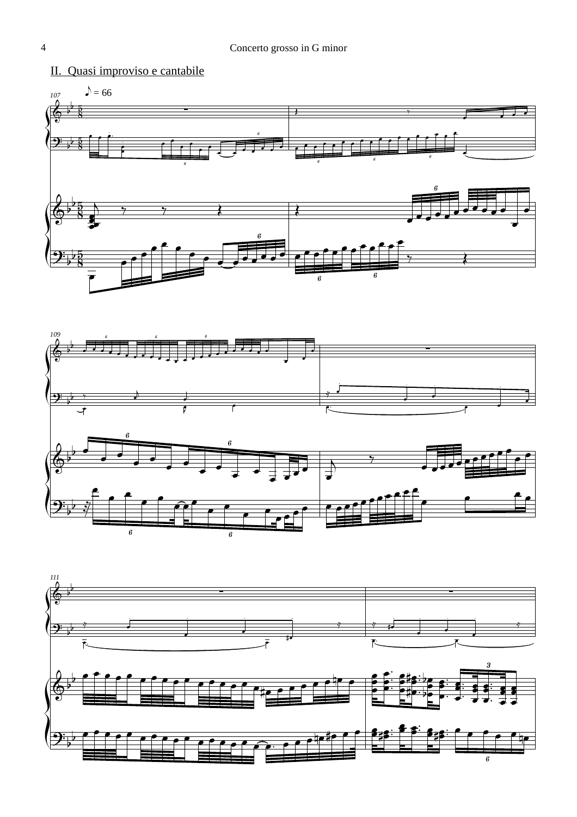## II. Quasi improviso e cantabile





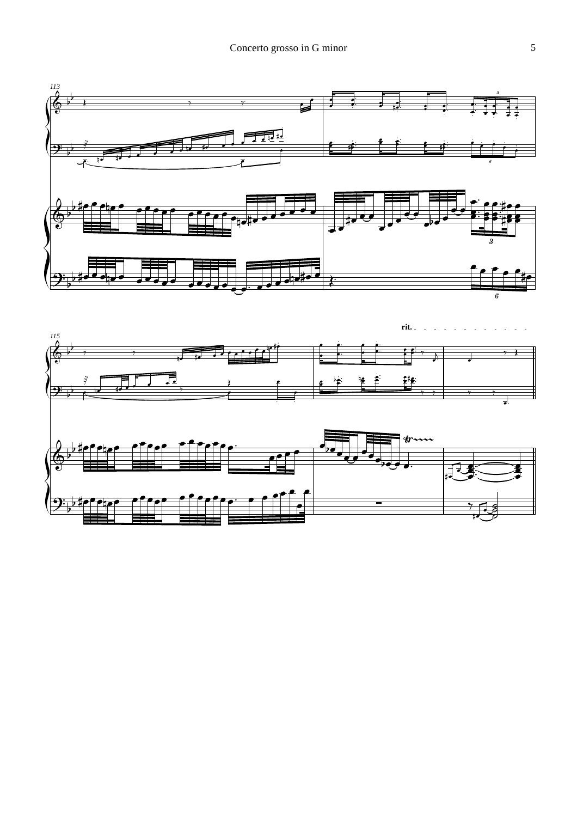

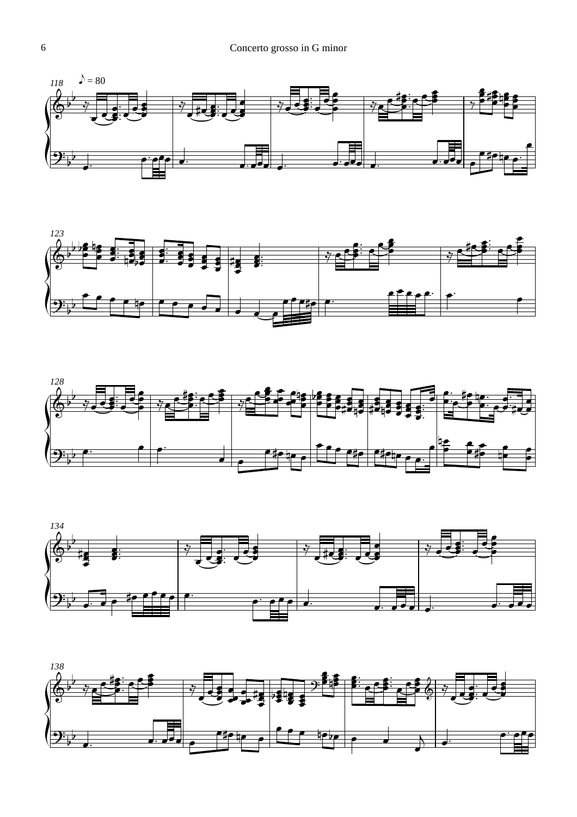







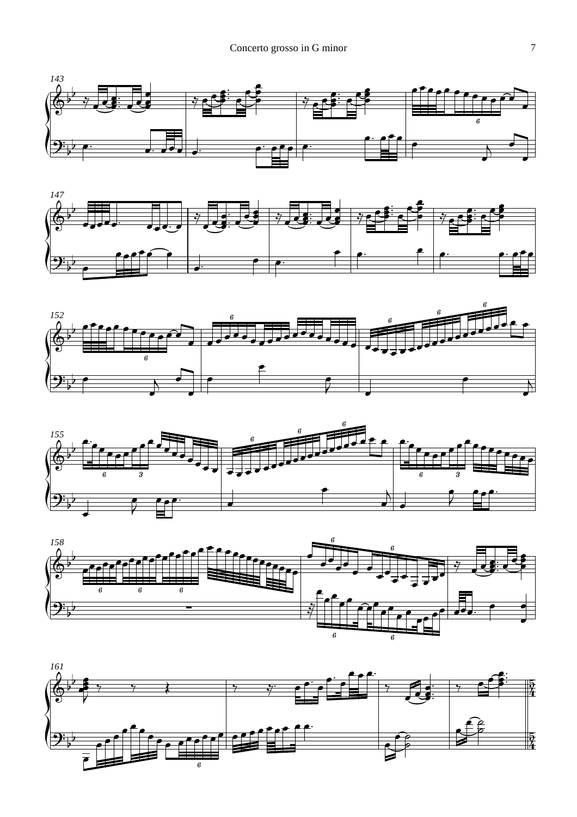









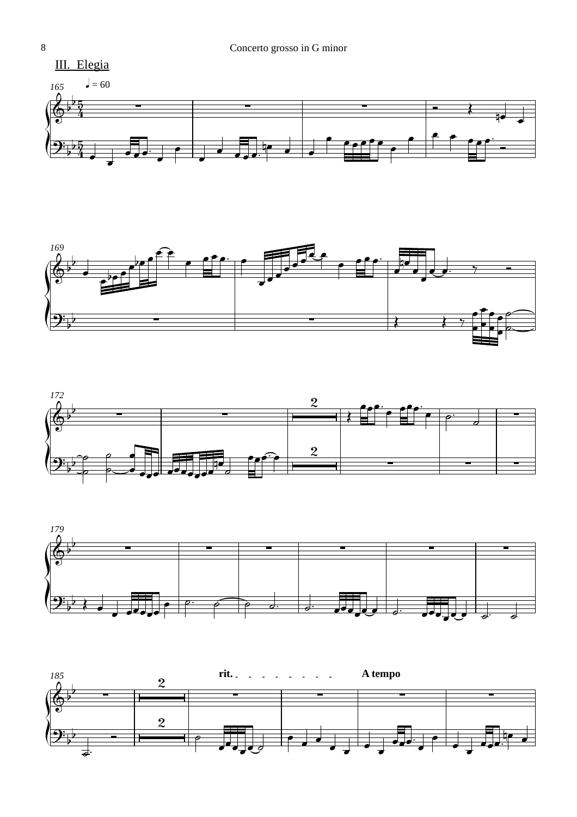







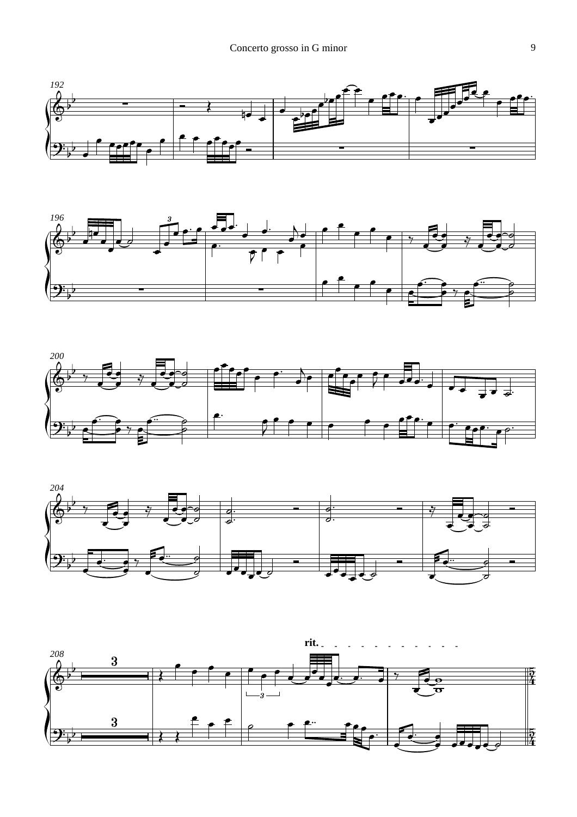







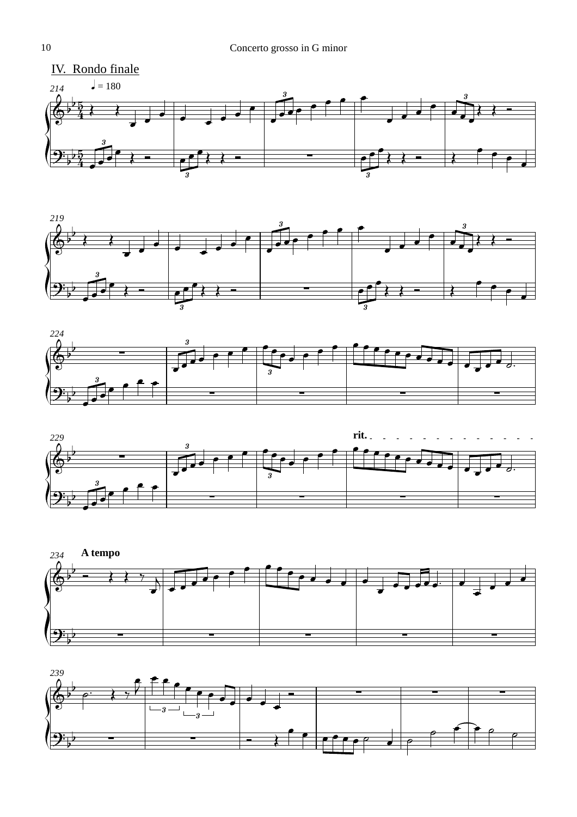









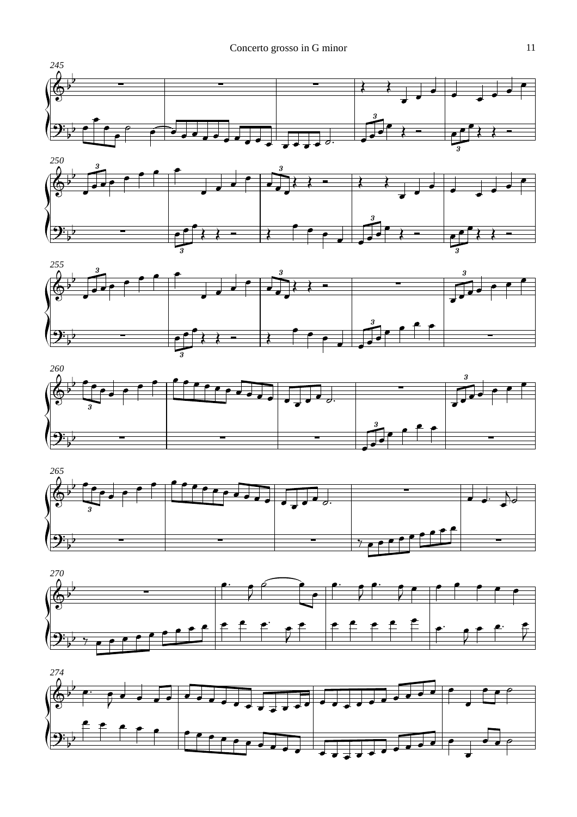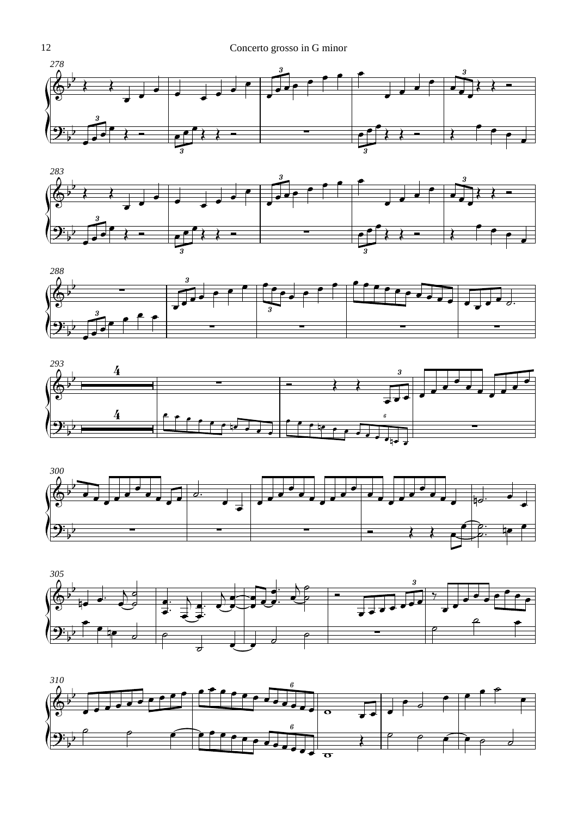## Concerto grosso in G minor